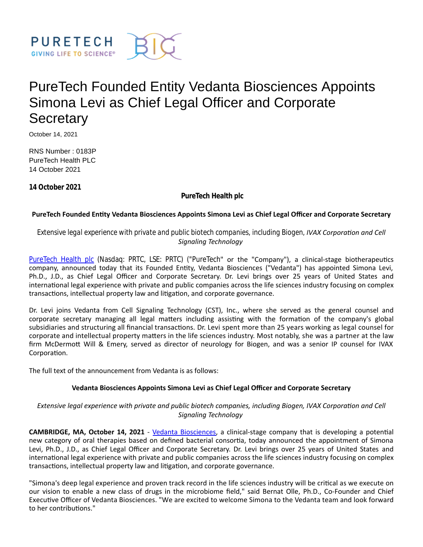

# PureTech Founded Entity Vedanta Biosciences Appoints Simona Levi as Chief Legal Officer and Corporate **Secretary**

October 14, 2021

RNS Number : 0183P PureTech Health PLC 14 October 2021

**14 October 2021**

**PureTech Health plc**

# **PureTech Founded EnƟty Vedanta Biosciences Appoints Simona Levi as Chief Legal Officer and Corporate Secretary**

*Extensive legal experience with private and public biotech companies, including Biogen, IVAX Corporation and Cell Signaling Technology*

[PureTech Health plc](https://puretechhealth.com/) (Nasdaq: PRTC, LSE: PRTC) ("PureTech" or the "Company"), a clinical-stage biotherapeutics company, announced today that its Founded Entity, Vedanta Biosciences ("Vedanta") has appointed Simona Levi, Ph.D., J.D., as Chief Legal Officer and Corporate Secretary. Dr. Levi brings over 25 years of United States and international legal experience with private and public companies across the life sciences industry focusing on complex transactions, intellectual property law and litigation, and corporate governance.

Dr. Levi joins Vedanta from Cell Signaling Technology (CST), Inc., where she served as the general counsel and corporate secretary managing all legal matters including assisting with the formation of the company's global subsidiaries and structuring all financial transactions. Dr. Levi spent more than 25 years working as legal counsel for corporate and intellectual property matters in the life sciences industry. Most notably, she was a partner at the law firm McDermott Will & Emery, served as director of neurology for Biogen, and was a senior IP counsel for IVAX Corporation.

The full text of the announcement from Vedanta is as follows:

# **Vedanta Biosciences Appoints Simona Levi as Chief Legal Officer and Corporate Secretary**

*Extensive legal experience with private and public biotech companies, including Biogen, IVAX Corporation and Cell Signaling Technology*

**CAMBRIDGE, MA, October 14, 2021** - [Vedanta Biosciences,](https://www.vedantabio.com/) a clinical-stage company that is developing a potential new category of oral therapies based on defined bacterial consortia, today announced the appointment of Simona Levi, Ph.D., J.D., as Chief Legal Officer and Corporate Secretary. Dr. Levi brings over 25 years of United States and international legal experience with private and public companies across the life sciences industry focusing on complex transactions, intellectual property law and litigation, and corporate governance.

"Simona's deep legal experience and proven track record in the life sciences industry will be critical as we execute on our vision to enable a new class of drugs in the microbiome field," said Bernat Olle, Ph.D., Co-Founder and Chief Executive Officer of Vedanta Biosciences. "We are excited to welcome Simona to the Vedanta team and look forward to her contributions."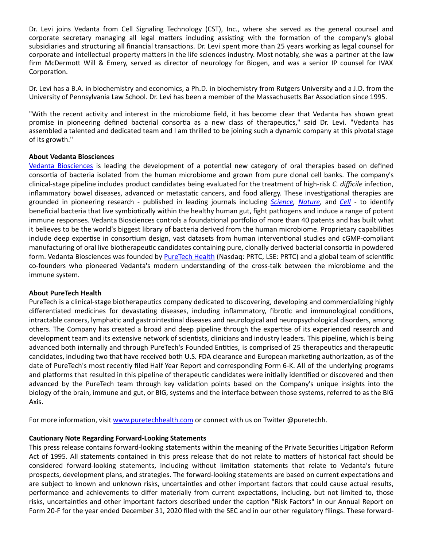Dr. Levi joins Vedanta from Cell Signaling Technology (CST), Inc., where she served as the general counsel and corporate secretary managing all legal matters including assisting with the formation of the company's global subsidiaries and structuring all financial transactions. Dr. Levi spent more than 25 years working as legal counsel for corporate and intellectual property matters in the life sciences industry. Most notably, she was a partner at the law firm McDermott Will & Emery, served as director of neurology for Biogen, and was a senior IP counsel for IVAX Corporation.

Dr. Levi has a B.A. in biochemistry and economics, a Ph.D. in biochemistry from Rutgers University and a J.D. from the University of Pennsylvania Law School. Dr. Levi has been a member of the Massachusetts Bar Association since 1995.

"With the recent activity and interest in the microbiome field, it has become clear that Vedanta has shown great promise in pioneering defined bacterial consortia as a new class of therapeutics," said Dr. Levi. "Vedanta has assembled a talented and dedicated team and I am thrilled to be joining such a dynamic company at this pivotal stage of its growth."

### **About Vedanta Biosciences**

[Vedanta Biosciences](http://www.vedantabio.com/) is leading the development of a potential new category of oral therapies based on defined consortia of bacteria isolated from the human microbiome and grown from pure clonal cell banks. The company's clinical-stage pipeline includes product candidates being evaluated for the treatment of high-risk *C. difficile* infection, inflammatory bowel diseases, advanced or metastatic cancers, and food allergy. These investigational therapies are grounded in pioneering research - published in leading journals including *[Science,](http://science.sciencemag.org/content/331/6015/337) [Nature,](https://www.nature.com/articles/nature12331)* and *[Cell](https://www.ncbi.nlm.nih.gov/pubmed/26411289)* - to idenƟfy beneficial bacteria that live symbiotically within the healthy human gut, fight pathogens and induce a range of potent immune responses. Vedanta Biosciences controls a foundational portfolio of more than 40 patents and has built what it believes to be the world's biggest library of bacteria derived from the human microbiome. Proprietary capabilities include deep expertise in consortium design, vast datasets from human interventional studies and cGMP-compliant manufacturing of oral live biotherapeutic candidates containing pure, clonally derived bacterial consortia in powdered form. Vedanta Biosciences was founded by [PureTech Health \(](https://puretechhealth.com/)Nasdaq: PRTC, LSE: PRTC) and a global team of scientific co-founders who pioneered Vedanta's modern understanding of the cross-talk between the microbiome and the immune system.

#### **About PureTech Health**

PureTech is a clinical-stage biotherapeutics company dedicated to discovering, developing and commercializing highly differentiated medicines for devastating diseases, including inflammatory, fibrotic and immunological conditions, intractable cancers, lymphatic and gastrointestinal diseases and neurological and neuropsychological disorders, among others. The Company has created a broad and deep pipeline through the expertise of its experienced research and development team and its extensive network of scientists, clinicians and industry leaders. This pipeline, which is being advanced both internally and through PureTech's Founded Entities, is comprised of 25 therapeutics and therapeutic candidates, including two that have received both U.S. FDA clearance and European marketing authorization, as of the date of PureTech's most recently filed Half Year Report and corresponding Form 6-K. All of the underlying programs and platforms that resulted in this pipeline of therapeutic candidates were initially identified or discovered and then advanced by the PureTech team through key validation points based on the Company's unique insights into the biology of the brain, immune and gut, or BIG, systems and the interface between those systems, referred to as the BIG Axis.

For more information, visit [www.puretechhealth.com o](http://www.puretechhealth.com/)r connect with us on Twitter @puretechh.

# **CauƟonary Note Regarding Forward-Looking Statements**

This press release contains forward-looking statements within the meaning of the Private Securities Litigation Reform Act of 1995. All statements contained in this press release that do not relate to matters of historical fact should be considered forward-looking statements, including without limitation statements that relate to Vedanta's future prospects, development plans, and strategies. The forward-looking statements are based on current expectations and are subject to known and unknown risks, uncertainties and other important factors that could cause actual results, performance and achievements to differ materially from current expectations, including, but not limited to, those risks, uncertainties and other important factors described under the caption "Risk Factors" in our Annual Report on Form 20-F for the year ended December 31, 2020 filed with the SEC and in our other regulatory filings. These forward